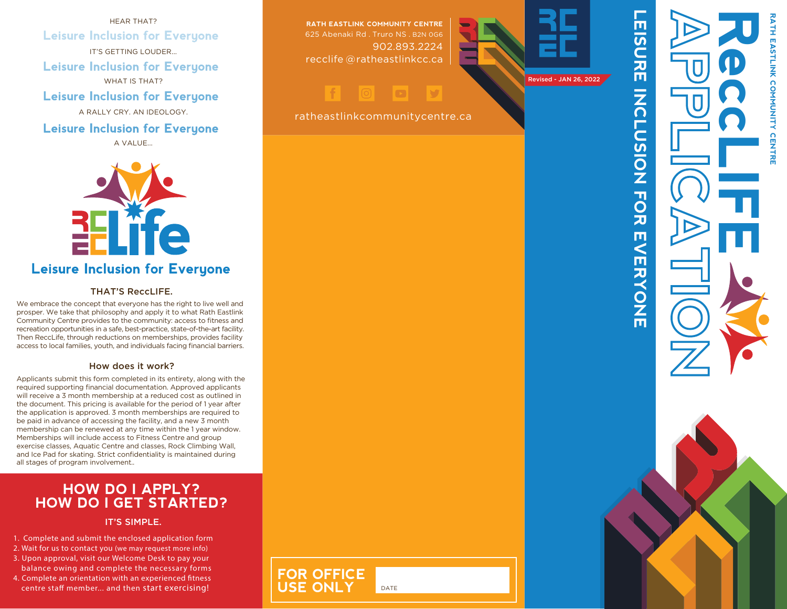HEAR THAT? **Leisure Inclusion for Everyone** IT'S GETTING LOUDER... **Leisure Inclusion for Everyone** WHAT IS THAT? **Leisure Inclusion for Everyone** A RALLY CRY. AN IDEOLOGY. **Leisure Inclusion for Everyone** 

A VALUE...



### **Leisure Inclusion for Everyone**

### THAT'S ReccLIFE.

We embrace the concept that everyone has the right to live well and prosper. We take that philosophy and apply it to what Rath Eastlink Community Centre provides to the community: access to fitness an d recreation opportunities in a safe, best-practice, state-of-the-art facility. Then ReccLife, through reductions on memberships, provides facility access to local families, youth, and individuals facing financial barriers.

#### How does it work?

Applicants submit this form completed in its entirety, along with the required supporting financial documentation. Approved applicants will receive a 3 month membership at a reduced cost as outlined in the document. This pricing is available for the period of 1 year after the application is approved. 3 month memberships are required to be paid in advance of accessing the facility, and a new 3 month membership can be renewed at any time within the 1 year window. Memberships will include access to Fitness Centre and group exercise classes, Aquatic Centre and classes, Rock Climbing Wall, and Ice Pad for skating. Strict confidentiality is maintained during all stages of program involvement. .

### **HOW DO I APPLY? HOW DO I GET STARTED?**

#### IT'S SIMPLE.

- 1. Complete and submit the enclosed application form
- 2. Wait for us to contact you (we may request more info)
- 3. Upon approval, visit our Welcome Desk to pay your
- balance owing and complete the necessary forms 4. Complete an orientation with an experienced fitness centre staff member... and then start exercising!

**RATH EASTLINK COMMUNITY CENTRE** 625 Abenaki Rd . Truro NS . B2N 0G6 902.893.2224 recclife @ ratheastlinkcc.ca

# HODDV



ratheastlinkcommunitycentre.ca

DATE

**FOR OFFICE**

**USE OI** 



LEISURE INCLUSION FOR EVERYONE

Ш

**NERYONE** 

**NONDICSION TON** 

 $\overline{\mathbf{u}}$ 

 $\overline{a}$ 

元